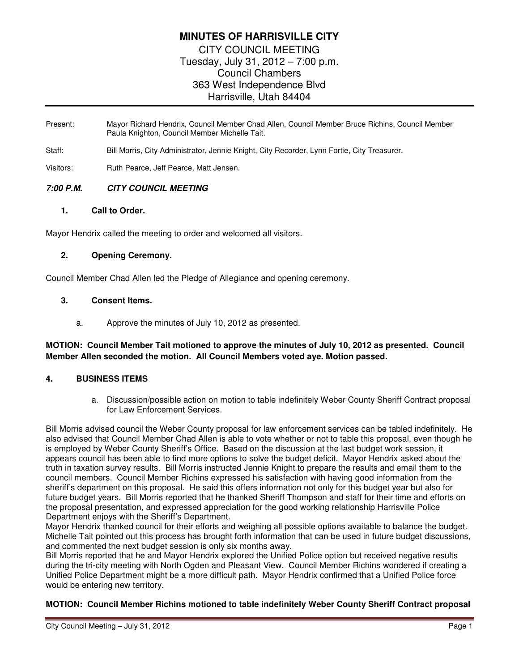# **MINUTES OF HARRISVILLE CITY**  CITY COUNCIL MEETING Tuesday, July 31, 2012 – 7:00 p.m. Council Chambers 363 West Independence Blvd Harrisville, Utah 84404

- Present: Mayor Richard Hendrix, Council Member Chad Allen, Council Member Bruce Richins, Council Member Paula Knighton, Council Member Michelle Tait.
- Staff: Bill Morris, City Administrator, Jennie Knight, City Recorder, Lynn Fortie, City Treasurer.

Visitors: Ruth Pearce, Jeff Pearce, Matt Jensen.

## **7:00 P.M. CITY COUNCIL MEETING**

#### **1. Call to Order.**

Mayor Hendrix called the meeting to order and welcomed all visitors.

## **2. Opening Ceremony.**

Council Member Chad Allen led the Pledge of Allegiance and opening ceremony.

## **3. Consent Items.**

a. Approve the minutes of July 10, 2012 as presented.

## **MOTION: Council Member Tait motioned to approve the minutes of July 10, 2012 as presented. Council Member Allen seconded the motion. All Council Members voted aye. Motion passed.**

## **4. BUSINESS ITEMS**

a. Discussion/possible action on motion to table indefinitely Weber County Sheriff Contract proposal for Law Enforcement Services.

Bill Morris advised council the Weber County proposal for law enforcement services can be tabled indefinitely. He also advised that Council Member Chad Allen is able to vote whether or not to table this proposal, even though he is employed by Weber County Sheriff's Office. Based on the discussion at the last budget work session, it appears council has been able to find more options to solve the budget deficit. Mayor Hendrix asked about the truth in taxation survey results. Bill Morris instructed Jennie Knight to prepare the results and email them to the council members. Council Member Richins expressed his satisfaction with having good information from the sheriff's department on this proposal. He said this offers information not only for this budget year but also for future budget years. Bill Morris reported that he thanked Sheriff Thompson and staff for their time and efforts on the proposal presentation, and expressed appreciation for the good working relationship Harrisville Police Department enjoys with the Sheriff's Department.

Mayor Hendrix thanked council for their efforts and weighing all possible options available to balance the budget. Michelle Tait pointed out this process has brought forth information that can be used in future budget discussions, and commented the next budget session is only six months away.

Bill Morris reported that he and Mayor Hendrix explored the Unified Police option but received negative results during the tri-city meeting with North Ogden and Pleasant View. Council Member Richins wondered if creating a Unified Police Department might be a more difficult path. Mayor Hendrix confirmed that a Unified Police force would be entering new territory.

#### **MOTION: Council Member Richins motioned to table indefinitely Weber County Sheriff Contract proposal**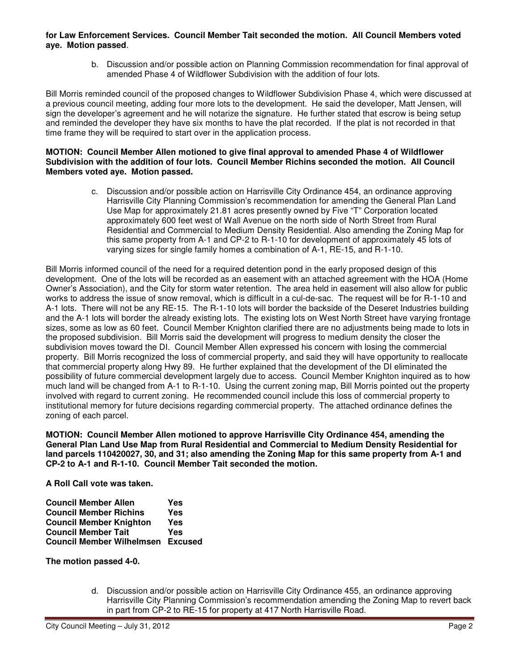## **for Law Enforcement Services. Council Member Tait seconded the motion. All Council Members voted aye. Motion passed**.

b. Discussion and/or possible action on Planning Commission recommendation for final approval of amended Phase 4 of Wildflower Subdivision with the addition of four lots.

Bill Morris reminded council of the proposed changes to Wildflower Subdivision Phase 4, which were discussed at a previous council meeting, adding four more lots to the development. He said the developer, Matt Jensen, will sign the developer's agreement and he will notarize the signature. He further stated that escrow is being setup and reminded the developer they have six months to have the plat recorded. If the plat is not recorded in that time frame they will be required to start over in the application process.

#### **MOTION: Council Member Allen motioned to give final approval to amended Phase 4 of Wildflower Subdivision with the addition of four lots. Council Member Richins seconded the motion. All Council Members voted aye. Motion passed.**

c. Discussion and/or possible action on Harrisville City Ordinance 454, an ordinance approving Harrisville City Planning Commission's recommendation for amending the General Plan Land Use Map for approximately 21.81 acres presently owned by Five "T" Corporation located approximately 600 feet west of Wall Avenue on the north side of North Street from Rural Residential and Commercial to Medium Density Residential. Also amending the Zoning Map for this same property from A-1 and CP-2 to R-1-10 for development of approximately 45 lots of varying sizes for single family homes a combination of A-1, RE-15, and R-1-10.

Bill Morris informed council of the need for a required detention pond in the early proposed design of this development. One of the lots will be recorded as an easement with an attached agreement with the HOA (Home Owner's Association), and the City for storm water retention. The area held in easement will also allow for public works to address the issue of snow removal, which is difficult in a cul-de-sac. The request will be for R-1-10 and A-1 lots. There will not be any RE-15. The R-1-10 lots will border the backside of the Deseret Industries building and the A-1 lots will border the already existing lots. The existing lots on West North Street have varying frontage sizes, some as low as 60 feet. Council Member Knighton clarified there are no adjustments being made to lots in the proposed subdivision. Bill Morris said the development will progress to medium density the closer the subdivision moves toward the DI. Council Member Allen expressed his concern with losing the commercial property. Bill Morris recognized the loss of commercial property, and said they will have opportunity to reallocate that commercial property along Hwy 89. He further explained that the development of the DI eliminated the possibility of future commercial development largely due to access. Council Member Knighton inquired as to how much land will be changed from A-1 to R-1-10. Using the current zoning map, Bill Morris pointed out the property involved with regard to current zoning. He recommended council include this loss of commercial property to institutional memory for future decisions regarding commercial property. The attached ordinance defines the zoning of each parcel.

**MOTION: Council Member Allen motioned to approve Harrisville City Ordinance 454, amending the General Plan Land Use Map from Rural Residential and Commercial to Medium Density Residential for land parcels 110420027, 30, and 31; also amending the Zoning Map for this same property from A-1 and CP-2 to A-1 and R-1-10. Council Member Tait seconded the motion.** 

**A Roll Call vote was taken.** 

| <b>Council Member Allen</b>              | Yes |
|------------------------------------------|-----|
| <b>Council Member Richins</b>            | Yes |
| <b>Council Member Knighton</b>           | Yes |
| <b>Council Member Tait</b>               | Yes |
| <b>Council Member Wilhelmsen Excused</b> |     |

**The motion passed 4-0.** 

d. Discussion and/or possible action on Harrisville City Ordinance 455, an ordinance approving Harrisville City Planning Commission's recommendation amending the Zoning Map to revert back in part from CP-2 to RE-15 for property at 417 North Harrisville Road.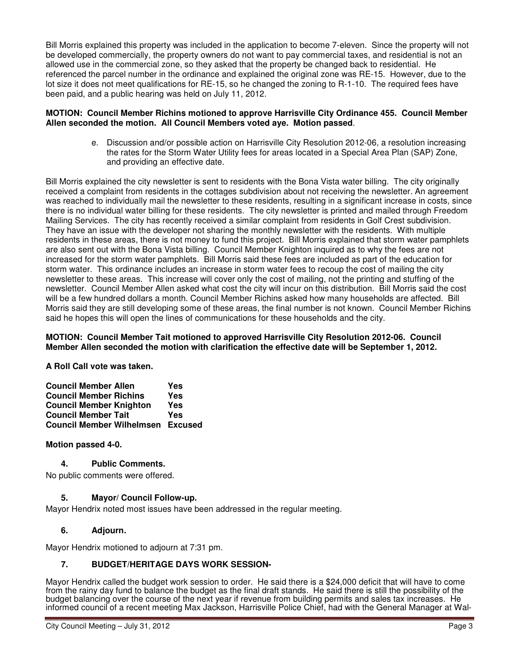Bill Morris explained this property was included in the application to become 7-eleven. Since the property will not be developed commercially, the property owners do not want to pay commercial taxes, and residential is not an allowed use in the commercial zone, so they asked that the property be changed back to residential. He referenced the parcel number in the ordinance and explained the original zone was RE-15. However, due to the lot size it does not meet qualifications for RE-15, so he changed the zoning to R-1-10. The required fees have been paid, and a public hearing was held on July 11, 2012.

#### **MOTION: Council Member Richins motioned to approve Harrisville City Ordinance 455. Council Member Allen seconded the motion. All Council Members voted aye. Motion passed**.

e. Discussion and/or possible action on Harrisville City Resolution 2012-06, a resolution increasing the rates for the Storm Water Utility fees for areas located in a Special Area Plan (SAP) Zone, and providing an effective date.

Bill Morris explained the city newsletter is sent to residents with the Bona Vista water billing. The city originally received a complaint from residents in the cottages subdivision about not receiving the newsletter. An agreement was reached to individually mail the newsletter to these residents, resulting in a significant increase in costs, since there is no individual water billing for these residents. The city newsletter is printed and mailed through Freedom Mailing Services. The city has recently received a similar complaint from residents in Golf Crest subdivision. They have an issue with the developer not sharing the monthly newsletter with the residents. With multiple residents in these areas, there is not money to fund this project. Bill Morris explained that storm water pamphlets are also sent out with the Bona Vista billing. Council Member Knighton inquired as to why the fees are not increased for the storm water pamphlets. Bill Morris said these fees are included as part of the education for storm water. This ordinance includes an increase in storm water fees to recoup the cost of mailing the city newsletter to these areas. This increase will cover only the cost of mailing, not the printing and stuffing of the newsletter. Council Member Allen asked what cost the city will incur on this distribution. Bill Morris said the cost will be a few hundred dollars a month. Council Member Richins asked how many households are affected. Bill Morris said they are still developing some of these areas, the final number is not known. Council Member Richins said he hopes this will open the lines of communications for these households and the city.

#### **MOTION: Council Member Tait motioned to approved Harrisville City Resolution 2012-06. Council Member Allen seconded the motion with clarification the effective date will be September 1, 2012.**

**A Roll Call vote was taken.** 

| <b>Council Member Allen</b>    |                                          | Yes |
|--------------------------------|------------------------------------------|-----|
| <b>Council Member Richins</b>  |                                          | Yes |
| <b>Council Member Knighton</b> |                                          | Yes |
| <b>Council Member Tait</b>     |                                          | Yes |
|                                | <b>Council Member Wilhelmsen Excused</b> |     |

## **Motion passed 4-0.**

## **4. Public Comments.**

No public comments were offered.

## **5. Mayor/ Council Follow-up.**

Mayor Hendrix noted most issues have been addressed in the regular meeting.

## **6. Adjourn.**

Mayor Hendrix motioned to adjourn at 7:31 pm.

## **7. BUDGET/HERITAGE DAYS WORK SESSION-**

Mayor Hendrix called the budget work session to order. He said there is a \$24,000 deficit that will have to come from the rainy day fund to balance the budget as the final draft stands. He said there is still the possibility of the budget balancing over the course of the next year if revenue from building permits and sales tax increases. He informed council of a recent meeting Max Jackson, Harrisville Police Chief, had with the General Manager at Wal